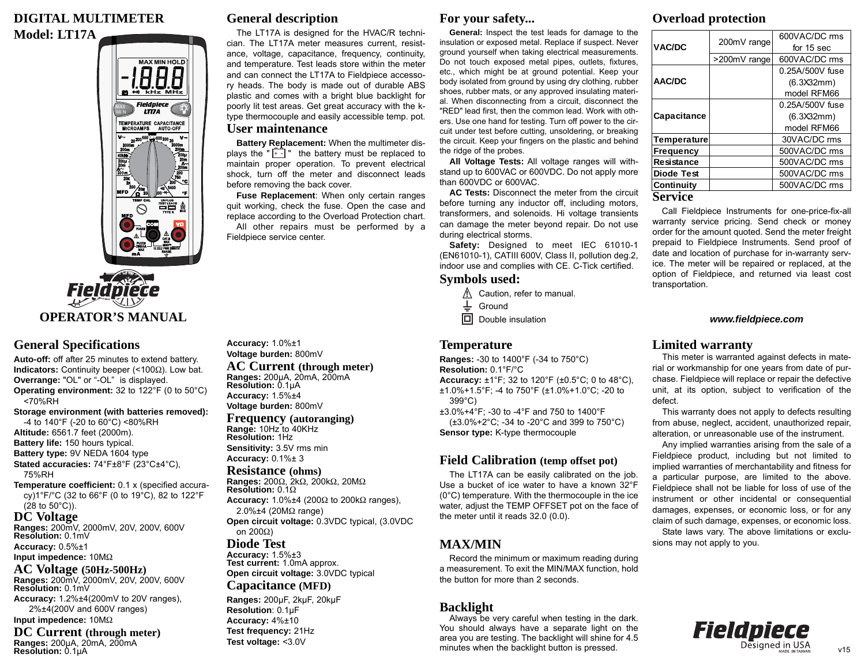## **DIGITAL MULTIMETER Model: LT17A**



**OPERATOR'S MANUAL**

**Field piece** 

# **General Specifications**

**Auto-off:** off after 25 minutes to extend battery. **Indicators:** Continuity beeper (<100 Ω). Low bat. **Overrange:** "OL" or "-OL" is displayed. **Operating environment:** 32 to 122°F (0 to 50°C) <70%RH **Storage environment (with batteries removed):** -4 to 140°F (-20 to 60°C) <80%RH

**Altitude:** 6561.7 feet (2000m). **Battery life:** 150 hours typical. **Battery type:** 9V NEDA 1604 type **Stated accuracies:** 74°F±8°F (23°C±4°C),

75%RH

**Temperature coefficient:** 0.1 x (specified accuracy)1°F/°C (32 to 66°F (0 to 19°C), 82 to 122°F (28 to 50°C)).

#### **DC Voltage**

**Ranges:** 200mV, 2000mV, 20V, 200V, 600V **Resolution:** 0.1mV **Accuracy:** 0.5%±1

#### **Input impedence:** 10M Ω

**AC Voltage (50Hz-500Hz)**

**Ranges:** 200mV, 2000mV, 20V, 200V, 600V **Resolution:** 0.1mV

**Accuracy:** 1.2%±4(200mV to 20V ranges), 2%±4(200V and 600V ranges) **Input impedence:** 10M Ω

**DC Current (through meter) Ranges:** <sup>200</sup>μA, 20mA, 200mA **Resolution:** 0.1μ<sup>A</sup>

# **General description**

The LT17A is designed for the HVAC/R technician. The LT17A meter measures current, resistance, voltage, capacitance, frequency, continuity, and temperature. Test leads store within the meter and can connect the LT17A to Fieldpiece accessory heads. The body is made out of durable ABS plastic and comes with a bright blue backlight for poorly lit test areas. Get great accuracy with the ktype thermocouple and easily accessible temp. pot. **User maintenance**

**Battery Replacement:** When the multimeter displays the " $\begin{bmatrix} + \\ + \end{bmatrix}$ " the battery must be replaced to maintain proper operation. To prevent electrical shock, turn off the meter and disconnect leads before removing the back cover.

**Fuse Replacement**: When only certain ranges quit working, check the fuse. Open the case and replace according to the Overload Protection chart. All other repairs must be performed by a Fieldpiece service center.

#### **For your safety...**

**General:** Inspect the test leads for damage to the insulation or exposed metal. Replace if suspect. Never ground yourself when taking electrical measurements. Do not touch exposed metal pipes, outlets, fixtures, etc., which might be at ground potential. Keep your body isolated from ground by using dry clothing, rubber shoes, rubber mats, or any approved insulating material. When disconnecting from a circuit, disconnect the "RED" lead first, then the common lead. Work with others. Use one hand for testing. Turn off power to the circuit under test before cutting, unsoldering, or breaking the circuit. Keep your fingers on the plastic and behind the ridge of the probes.

**All Voltage Tests:** All voltage ranges will withstand up to 600VAC or 600VDC. Do not apply more than 600VDC or 600VAC.

**AC Tests:** Disconnect the meter from the circuit before turning any inductor off, including motors, transformers, and solenoids. Hi voltage transients can damage the meter beyond repair. Do not use during electrical storms.

**Safety:** Designed to meet IEC 61010-1 (EN61010-1), CATIII 600V, Class II, pollution deg.2, indoor use and complies with CE. C-Tick certified.

#### **Symbols used:**

- Caution, refer to manual. **!**
- $\ddag$ Ground
- $\boxed{\Box}$  Double insulation

#### **Temperature**

**Ranges:** -30 to 1400°F (-34 to 750°C) **Resolution:** 0.1°F/°C **Accuracy:** ±1°F; 32 to 120°F (±0.5°C; 0 to 48°C), ±1.0%+1.5°F; -4 to 750°F (±1.0%+1.0°C; -20 to 399°C)

±3.0%+4°F; -30 to -4°F and 750 to 1400°F (±3.0%+2°C; -34 to -20°C and 399 to 750°C) **Sensor type:** K-type thermocouple

# **Field Calibration (temp offset pot)**

The LT17A can be easily calibrated on the job. Use a bucket of ice water to have a known 32°F (0°C) temperature. With the thermocouple in the ice water, adjust the TEMP OFFSET pot on the face of the meter until it reads 32.0 (0.0).

# **MAX/MIN**

Record the minimum or maximum reading during a measurement. To exit the MIN/MAX function, hold the button for more than 2 seconds.

# **Backlight**

Always be very careful when testing in the dark. You should always have a separate light on the area you are testing. The backlight will shine for 4.5 minutes when the backlight button is pressed.

# **Overload protection**

| VAC/DC             | 200mV range  | 600VAC/DC rms   |
|--------------------|--------------|-----------------|
|                    |              | for 15 sec      |
|                    | >200mV range | 600VAC/DC rms   |
| AAC/DC             |              | 0.25A/500V fuse |
|                    |              | (6.3X32mm)      |
|                    |              | model RFM66     |
| Capacitance        |              | 0.25A/500V fuse |
|                    |              | (6.3X32mm)      |
|                    |              | model RFM66     |
| <b>Temperature</b> |              | 30VAC/DC rms    |
| <b>Frequency</b>   |              | 500VAC/DC rms   |
| Resistance         |              | 500VAC/DC rms   |
| Diode Test         |              | 500VAC/DC rms   |
| Continuity         |              | 500VAC/DC rms   |
| Service            |              |                 |

Call Fieldpiece Instruments for one-price-fix-all warranty service pricing. Send check or money order for the amount quoted. Send the meter freight prepaid to Fieldpiece Instruments. Send proof of date and location of purchase for in-warranty service. The meter will be repaired or replaced, at the option of Fieldpiece, and returned via least cost

#### *www.fieldpiece.com*

#### **Limited warranty**

transportation.

This meter is warranted against defects in material or workmanship for one years from date of purchase. Fieldpiece will replace or repair the defective unit, at its option, subject to verification of the defect.

This warranty does not apply to defects resulting from abuse, neglect, accident, unauthorized repair, alteration, or unreasonable use of the instrument.

Any implied warranties arising from the sale of a Fieldpiece product, including but not limited to implied warranties of merchantability and fitness for a particular purpose, are limited to the above. Fieldpiece shall not be liable for loss of use of the instrument or other incidental or consequential damages, expenses, or economic loss, or for any claim of such damage, expenses, or economic loss.

State laws vary. The above limitations or exclusions may not apply to you.



v15

**Accuracy:** 1.0%±1 **Voltage burden:** 800mV **AC Current (through meter)**

# **Ranges:** <sup>200</sup>μA, 20mA, 200mA **Resolution:** 0.1μ<sup>A</sup>

**Accuracy:** 1.5%±4 **Voltage burden:** 800mV

# **Frequency (autoranging) Range:** 10Hz to 40KHz **Resolution:** 1Hz

**Sensitivity:** 3.5V rms min **Accuracy:** 0.1%± 3

#### **Resistance (ohms)**

**Ranges:** 200Ω, 2kΩ, 200kΩ, 20MΩ **Resolution:** 0.1 Ω **Accuracy:** 1.0%±4 (200Ω to 200kΩ ranges), 2.0%±4 (20M Ω range) **Open circuit voltage:** 0.3VDC typical, (3.0VDC on 200 Ω)

# **Diode Test**

**Accuracy:** 1.5%±3 **Test current:** 1.0mA approx. **Open circuit voltage:** 3.0VDC typical **Capacitance (MFD)**

**Ranges:** 200μF, 2kμF, 20kμF

**Resolution**: 0.1μF **Accuracy:** 4%±10 **Test frequency:** 21Hz **Test voltage:** <3.0V